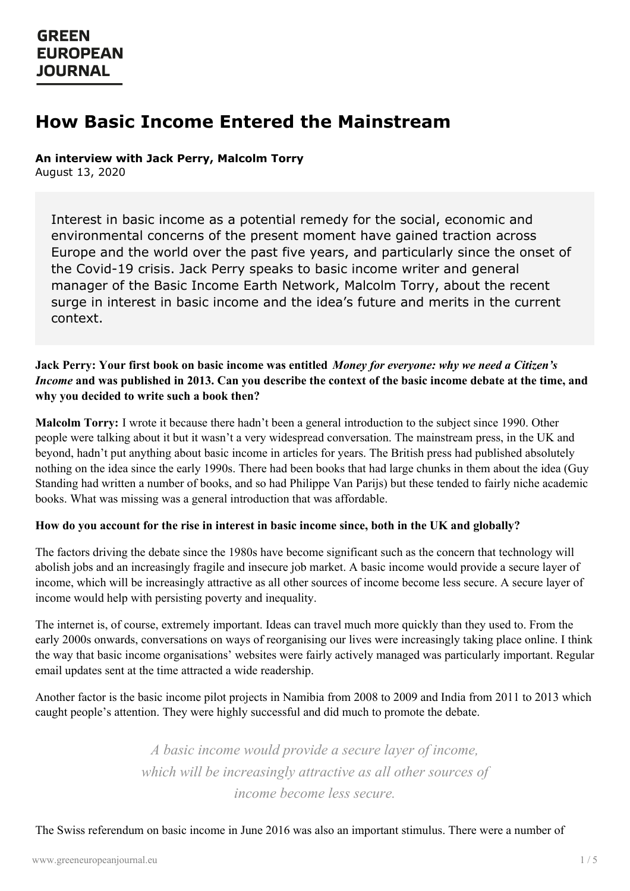# **How Basic Income Entered the Mainstream**

**An interview with Jack Perry, Malcolm Torry**

August 13, 2020

Interest in basic income as a potential remedy for the social, economic and environmental concerns of the present moment have gained traction across Europe and the world over the past five years, and particularly since the onset of the Covid-19 crisis. Jack Perry speaks to basic income writer and general manager of the Basic Income Earth Network, Malcolm Torry, about the recent surge in interest in basic income and the idea's future and merits in the current context.

## Jack Perry: Your first book on basic income was entitled Money for everyone: why we need a Citizen's *Income* and was published in 2013. Can you describe the context of the basic income debate at the time, and **why you decided to write such a book then?**

**Malcolm Torry:** I wrote it because there hadn't been a general introduction to the subject since 1990. Other people were talking about it but it wasn't a very widespread conversation. The mainstream press, in the UK and beyond, hadn't put anything about basic income in articles for years. The British press had published absolutely nothing on the idea since the early 1990s. There had been books that had large chunks in them about the idea (Guy Standing had written a number of books, and so had Philippe Van Parijs) but these tended to fairly niche academic books. What was missing was a general introduction that was affordable.

## How do you account for the rise in interest in basic income since, both in the UK and globally?

The factors driving the debate since the 1980s have become significant such as the concern that technology will abolish jobs and an increasingly fragile and insecure job market. A basic income would provide a secure layer of income, which will be increasingly attractive as all other sources of income become less secure. A secure layer of income would help with persisting poverty and inequality.

The internet is, of course, extremely important. Ideas can travel much more quickly than they used to. From the early 2000s onwards, conversations on ways of reorganising our lives were increasingly taking place online. I think the way that basic income organisations' websites were fairly actively managed was particularly important. Regular email updates sent at the time attracted a wide readership.

Another factor is the basic income pilot projects in Namibia from 2008 to 2009 and India from 2011 to 2013 which caught people's attention. They were highly successful and did much to promote the debate.

> *[A](https://www.greeneuropeanjournal.eu) basic income would provide a secure layer of income, which will be increasingly attractive as all other sources of income become less secure.*

The Swiss referendum on basic income in June 2016 was also an important stimulus. There were a number of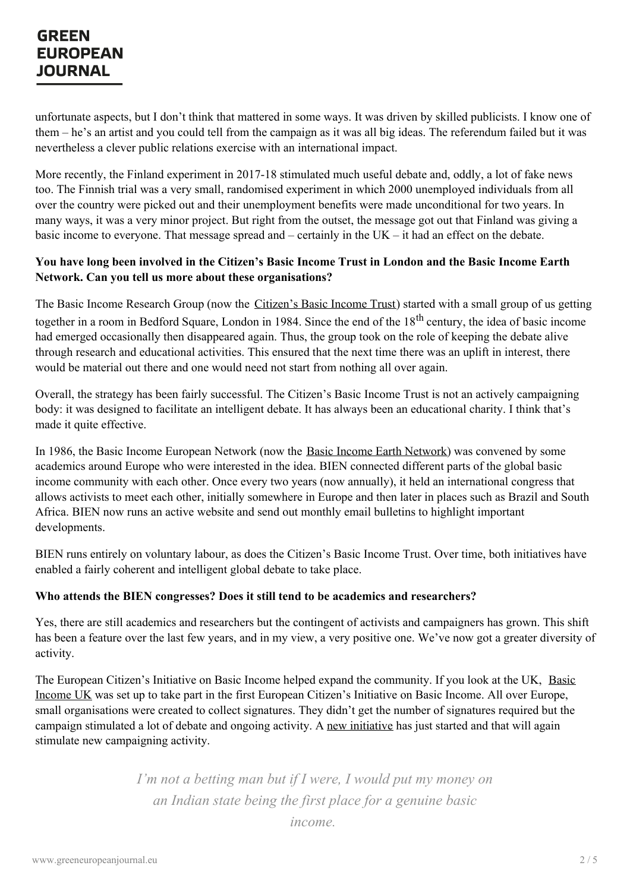unfortunate aspects, but I don't think that mattered in some ways. It was driven by skilled publicists. I know one of them – he's an artist and you could tell from the campaign as it was all big ideas. The referendum failed but it was nevertheless a clever public relations exercise with an international impact.

More recently, the Finland experiment in 2017-18 stimulated much useful debate and, oddly, a lot of fake news too. The Finnish trial was a very small, randomised experiment in which 2000 unemployed individuals from all over the country were picked out and their unemployment benefits were made unconditional for two years. In many ways, it was a very minor project. But right from the outset, the message got out that Finland was giving a basic income to everyone. That message spread and – certainly in the UK – it had an effect on the debate.

## You have long been involved in the Citizen's Basic Income Trust in London and the Basic Income Earth **Network. Can you tell us more about these organisations?**

The Basic Income Research Group (now the *[Citizen's](https://citizensincome.org/) Basic Income Trust*) started with a small group of us getting together in a room in Bedford Square, London in 1984. Since the end of the 18<sup>th</sup> century, the idea of basic income had emerged occasionally then disappeared again. Thus, the group took on the role of keeping the debate alive through research and educational activities. This ensured that the next time there was an uplift in interest, there would be material out there and one would need not start from nothing all over again.

Overall, the strategy has been fairly successful. The Citizen's Basic Income Trust is not an actively campaigning body: it was designed to facilitate an intelligent debate. It has always been an educational charity. I think that's made it quite effective.

In 1986, the Basic Income European Network (now the Basic Income Earth [Network](https://basicincome.org/)) was convened by some academics around Europe who were interested in the idea. BIEN connected different parts of the global basic income community with each other. Once every two years (now annually), it held an international congress that allows activists to meet each other, initially somewhere in Europe and then later in places such as Brazil and South Africa. BIEN now runs an active website and send out monthly email bulletins to highlight important developments.

BIEN runs entirely on voluntary labour, as does the Citizen's Basic Income Trust. Over time, both initiatives have enabled a fairly coherent and intelligent global debate to take place.

## **Who attends the BIEN congresses? Does it still tend to be academics and researchers?**

Yes, there are still academics and researchers but the contingent of activists and campaigners has grown. This shift has been a feature over the last few years, and in my view, a very positive one. We've now got a greater diversity of activity.

The European Citizen's Initiative on Basic Income helped expand the [community.](https://www.basicincome.org.uk/) If you look at the UK, Basic Income UK was set up to take part in the first European Citizen's Initiative on Basic Income. All over Europe, small organisations were created to collect signatures. They didn't get the number of signatures required but the campaign stimulated a lot of debate and ongoing activity. A new [initiative](https://basicincome.org/news/2020/05/a-new-european-citizens-initiative-about-basic-income/) has just started and that will again stimulate new [campaignin](https://www.greeneuropeanjournal.eu)g activity.

> *I'm not a betting man but if I were, I would put my money on an Indian state being the first place for a genuine basic income.*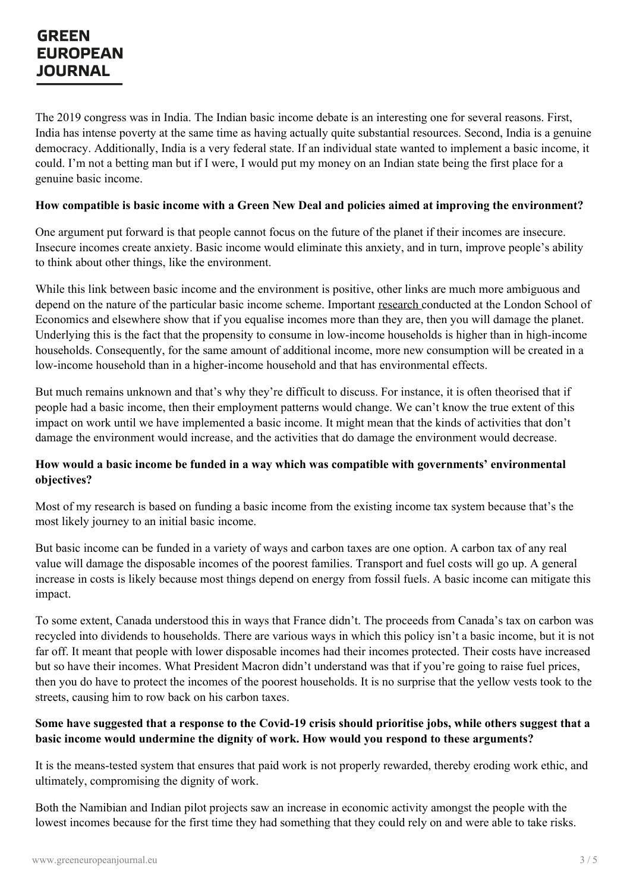The 2019 congress was in India. The Indian basic income debate is an interesting one for several reasons. First, India has intense poverty at the same time as having actually quite substantial resources. Second, India is a genuine democracy. Additionally, India is a very federal state. If an individual state wanted to implement a basic income, it could. I'm not a betting man but if I were, I would put my money on an Indian state being the first place for a genuine basic income.

#### **How compatible is basic income with a Green New Deal and policies aimed at improving the environment?**

One argument put forward is that people cannot focus on the future of the planet if their incomes are insecure. Insecure incomes create anxiety. Basic income would eliminate this anxiety, and in turn, improve people's ability to think about other things, like the environment.

While this link between basic income and the environment is positive, other links are much more ambiguous and depend on the nature of the particular basic income scheme. Important [research](http://www.lse.ac.uk/GranthamInstitute/publication/income-inequality-and-carbon-consumption-evidence-from-environmental-engel-curves/) conducted at the London School of Economics and elsewhere show that if you equalise incomes more than they are, then you will damage the planet. Underlying this is the fact that the propensity to consume in low-income households is higher than in high-income households. Consequently, for the same amount of additional income, more new consumption will be created in a low-income household than in a higher-income household and that has environmental effects.

But much remains unknown and that's why they're difficult to discuss. For instance, it is often theorised that if people had a basic income, then their employment patterns would change. We can't know the true extent of this impact on work until we have implemented a basic income. It might mean that the kinds of activities that don't damage the environment would increase, and the activities that do damage the environment would decrease.

## **How would a basic income be funded in a way which was compatible with governments' environmental objectives?**

Most of my research is based on funding a basic income from the existing income tax system because that's the most likely journey to an initial basic income.

But basic income can be funded in a variety of ways and carbon taxes are one option. A carbon tax of any real value will damage the disposable incomes of the poorest families. Transport and fuel costs will go up. A general increase in costs is likely because most things depend on energy from fossil fuels. A basic income can mitigate this impact.

To some extent, Canada understood this in ways that France didn't. The proceeds from Canada's tax on carbon was recycled into dividends to households. There are various ways in which this policy isn't a basic income, but it is not far off. It meant that people with lower disposable incomes had their incomes protected. Their costs have increased but so have their incomes. What President Macron didn't understand was that if you're going to raise fuel prices, then you do have to protect the incomes of the poorest households. It is no surprise that the yellow vests took to the streets, causing him to row back on his carbon taxes.

#### Some have suggested that a response to the Covid-19 crisis should prioritise jobs, while others suggest that a **basic [income](https://www.greeneuropeanjournal.eu) would undermine the dignity of work. How would you respond to these arguments?**

It is the means-tested system that ensures that paid work is not properly rewarded, thereby eroding work ethic, and ultimately, compromising the dignity of work.

Both the Namibian and Indian pilot projects saw an increase in economic activity amongst the people with the lowest incomes because for the first time they had something that they could rely on and were able to take risks.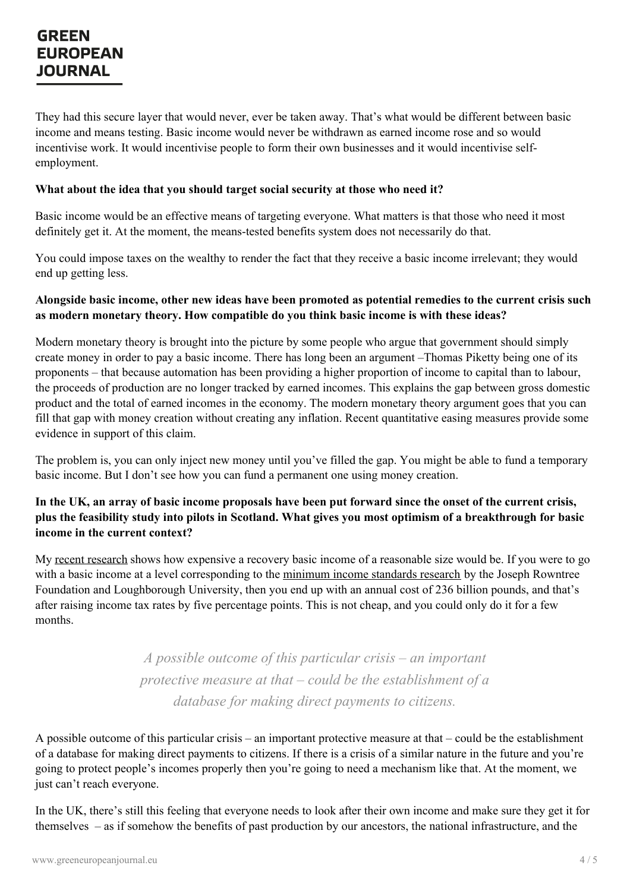They had this secure layer that would never, ever be taken away. That's what would be different between basic income and means testing. Basic income would never be withdrawn as earned income rose and so would incentivise work. It would incentivise people to form their own businesses and it would incentivise selfemployment.

#### **What about the idea that you should target social security at those who need it?**

Basic income would be an effective means of targeting everyone. What matters is that those who need it most definitely get it. At the moment, the means-tested benefits system does not necessarily do that.

You could impose taxes on the wealthy to render the fact that they receive a basic income irrelevant; they would end up getting less.

### Alongside basic income, other new ideas have been promoted as potential remedies to the current crisis such **as modern monetary theory. How compatible do you think basic income is with these ideas?**

Modern monetary theory is brought into the picture by some people who argue that government should simply create money in order to pay a basic income. There has long been an argument –Thomas Piketty being one of its proponents – that because automation has been providing a higher proportion of income to capital than to labour, the proceeds of production are no longer tracked by earned incomes. This explains the gap between gross domestic product and the total of earned incomes in the economy. The modern monetary theory argument goes that you can fill that gap with money creation without creating any inflation. Recent quantitative easing measures provide some evidence in support of this claim.

The problem is, you can only inject new money until you've filled the gap. You might be able to fund a temporary basic income. But I don't see how you can fund a permanent one using money creation.

## In the UK, an array of basic income proposals have been put forward since the onset of the current crisis, plus the feasibility study into pilots in Scotland. What gives you most optimism of a breakthrough for basic **income in the current context?**

My recent [research](https://www.iser.essex.ac.uk/research/publications/working-papers/euromod/em7-20) shows how expensive a recovery basic income of a reasonable size would be. If you were to go with a basic income at a level corresponding to the [minimum](https://www.jrf.org.uk/income-benefits/minimum-income-standards) income standards research by the Joseph Rowntree Foundation and Loughborough University, then you end up with an annual cost of 236 billion pounds, and that's after raising income tax rates by five percentage points. This is not cheap, and you could only do it for a few months.

> *A possible outcome of this particular crisis – an important protective measure at that – could be the establishment of a database for making direct payments to citizens.*

A possible outcome of this particular crisis – an important protective measure at that – could be the establishment of a [database](https://www.greeneuropeanjournal.eu) for making direct payments to citizens. If there is a crisis of a similar nature in the future and you're going to protect people's incomes properly then you're going to need a mechanism like that. At the moment, we just can't reach everyone.

In the UK, there's still this feeling that everyone needs to look after their own income and make sure they get it for themselves – as if somehow the benefits of past production by our ancestors, the national infrastructure, and the